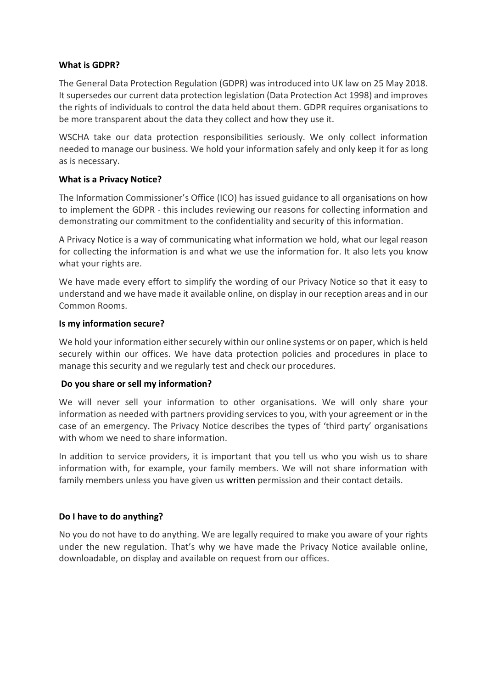#### **What is GDPR?**

The General Data Protection Regulation (GDPR) was introduced into UK law on 25 May 2018. It supersedes our current data protection legislation (Data Protection Act 1998) and improves the rights of individuals to control the data held about them. GDPR requires organisations to be more transparent about the data they collect and how they use it.

WSCHA take our data protection responsibilities seriously. We only collect information needed to manage our business. We hold your information safely and only keep it for as long as is necessary.

### **What is a Privacy Notice?**

The Information Commissioner's Office (ICO) has issued guidance to all organisations on how to implement the GDPR - this includes reviewing our reasons for collecting information and demonstrating our commitment to the confidentiality and security of this information.

A Privacy Notice is a way of communicating what information we hold, what our legal reason for collecting the information is and what we use the information for. It also lets you know what your rights are.

We have made every effort to simplify the wording of our Privacy Notice so that it easy to understand and we have made it available online, on display in our reception areas and in our Common Rooms.

#### **Is my information secure?**

We hold your information either securely within our online systems or on paper, which is held securely within our offices. We have data protection policies and procedures in place to manage this security and we regularly test and check our procedures.

#### **Do you share or sell my information?**

We will never sell your information to other organisations. We will only share your information as needed with partners providing services to you, with your agreement or in the case of an emergency. The Privacy Notice describes the types of 'third party' organisations with whom we need to share information

In addition to service providers, it is important that you tell us who you wish us to share information with, for example, your family members. We will not share information with family members unless you have given us written permission and their contact details.

## **Do I have to do anything?**

No you do not have to do anything. We are legally required to make you aware of your rights under the new regulation. That's why we have made the Privacy Notice available online, downloadable, on display and available on request from our offices.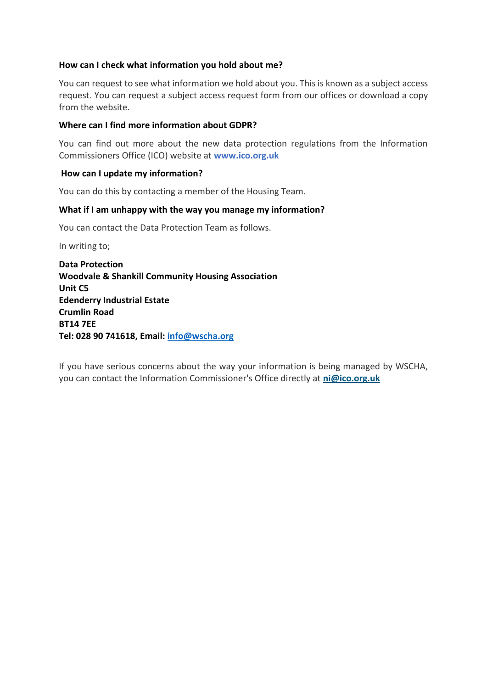### **How can I check what information you hold about me?**

You can request to see what information we hold about you. This is known as a subject access request. You can request a subject access request form from our offices or download a copy from the website.

### **Where can I find more information about GDPR?**

You can find out more about the new data protection regulations from the Information Commissioners Office (ICO) website at **[www.ico.org.uk](http://www.ico.org.uk/)**

#### **How can I update my information?**

You can do this by contacting a member of the Housing Team.

#### **What if I am unhappy with the way you manage my information?**

You can contact the Data Protection Team as follows.

In writing to;

**Data Protection Woodvale & Shankill Community Housing Association Unit C5 Edenderry Industrial Estate Crumlin Road BT14 7EE Tel: 028 90 741618, Email: [info@wscha.org](mailto:info@wscha.org)**

If you have serious concerns about the way your information is being managed by WSCHA, you can contact the Information Commissioner's Office directly at **[ni@ico.org.uk](mailto:ni@ico.org.uk)**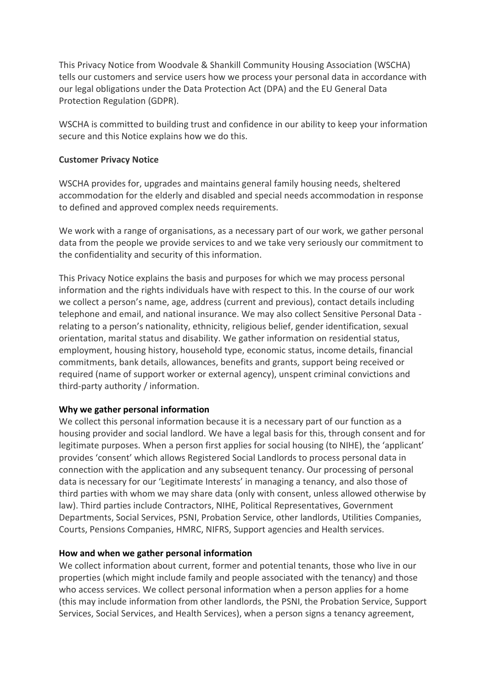This Privacy Notice from Woodvale & Shankill Community Housing Association (WSCHA) tells our customers and service users how we process your personal data in accordance with our legal obligations under the Data Protection Act (DPA) and the EU General Data Protection Regulation (GDPR).

WSCHA is committed to building trust and confidence in our ability to keep your information secure and this Notice explains how we do this.

### **Customer Privacy Notice**

WSCHA provides for, upgrades and maintains general family housing needs, sheltered accommodation for the elderly and disabled and special needs accommodation in response to defined and approved complex needs requirements.

We work with a range of organisations, as a necessary part of our work, we gather personal data from the people we provide services to and we take very seriously our commitment to the confidentiality and security of this information.

This Privacy Notice explains the basis and purposes for which we may process personal information and the rights individuals have with respect to this. In the course of our work we collect a person's name, age, address (current and previous), contact details including telephone and email, and national insurance. We may also collect Sensitive Personal Data relating to a person's nationality, ethnicity, religious belief, gender identification, sexual orientation, marital status and disability. We gather information on residential status, employment, housing history, household type, economic status, income details, financial commitments, bank details, allowances, benefits and grants, support being received or required (name of support worker or external agency), unspent criminal convictions and third-party authority / information.

## **Why we gather personal information**

We collect this personal information because it is a necessary part of our function as a housing provider and social landlord. We have a legal basis for this, through consent and for legitimate purposes. When a person first applies for social housing (to NIHE), the 'applicant' provides 'consent' which allows Registered Social Landlords to process personal data in connection with the application and any subsequent tenancy. Our processing of personal data is necessary for our 'Legitimate Interests' in managing a tenancy, and also those of third parties with whom we may share data (only with consent, unless allowed otherwise by law). Third parties include Contractors, NIHE, Political Representatives, Government Departments, Social Services, PSNI, Probation Service, other landlords, Utilities Companies, Courts, Pensions Companies, HMRC, NIFRS, Support agencies and Health services.

## **How and when we gather personal information**

We collect information about current, former and potential tenants, those who live in our properties (which might include family and people associated with the tenancy) and those who access services. We collect personal information when a person applies for a home (this may include information from other landlords, the PSNI, the Probation Service, Support Services, Social Services, and Health Services), when a person signs a tenancy agreement,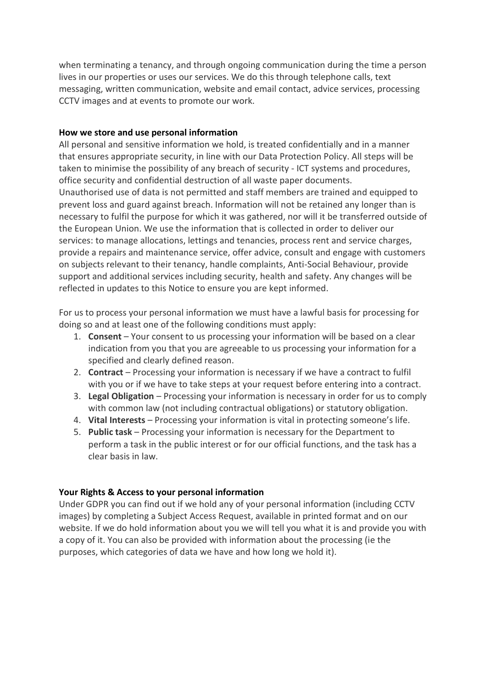when terminating a tenancy, and through ongoing communication during the time a person lives in our properties or uses our services. We do this through telephone calls, text messaging, written communication, website and email contact, advice services, processing CCTV images and at events to promote our work.

### **How we store and use personal information**

All personal and sensitive information we hold, is treated confidentially and in a manner that ensures appropriate security, in line with our Data Protection Policy. All steps will be taken to minimise the possibility of any breach of security - ICT systems and procedures, office security and confidential destruction of all waste paper documents.

Unauthorised use of data is not permitted and staff members are trained and equipped to prevent loss and guard against breach. Information will not be retained any longer than is necessary to fulfil the purpose for which it was gathered, nor will it be transferred outside of the European Union. We use the information that is collected in order to deliver our services: to manage allocations, lettings and tenancies, process rent and service charges, provide a repairs and maintenance service, offer advice, consult and engage with customers on subjects relevant to their tenancy, handle complaints, Anti-Social Behaviour, provide support and additional services including security, health and safety. Any changes will be reflected in updates to this Notice to ensure you are kept informed.

For us to process your personal information we must have a lawful basis for processing for doing so and at least one of the following conditions must apply:

- 1. **Consent** Your consent to us processing your information will be based on a clear indication from you that you are agreeable to us processing your information for a specified and clearly defined reason.
- 2. **Contract** Processing your information is necessary if we have a contract to fulfil with you or if we have to take steps at your request before entering into a contract.
- 3. **Legal Obligation** Processing your information is necessary in order for us to comply with common law (not including contractual obligations) or statutory obligation.
- 4. **Vital Interests** Processing your information is vital in protecting someone's life.
- 5. **Public task** Processing your information is necessary for the Department to perform a task in the public interest or for our official functions, and the task has a clear basis in law.

## **Your Rights & Access to your personal information**

Under GDPR you can find out if we hold any of your personal information (including CCTV images) by completing a Subject Access Request, available in printed format and on our website. If we do hold information about you we will tell you what it is and provide you with a copy of it. You can also be provided with information about the processing (ie the purposes, which categories of data we have and how long we hold it).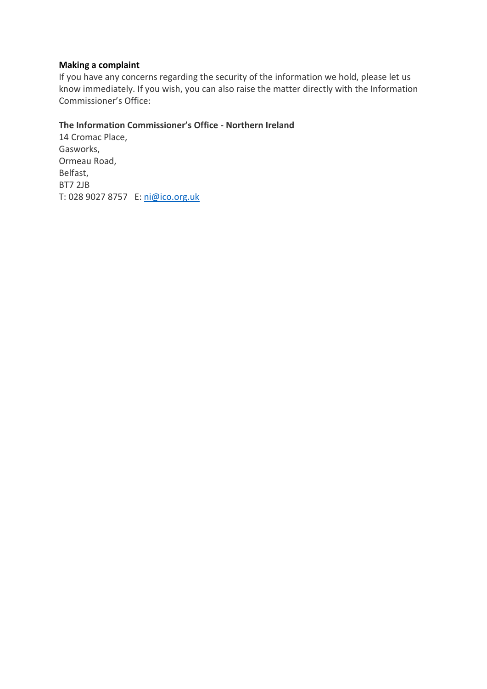### **Making a complaint**

If you have any concerns regarding the security of the information we hold, please let us know immediately. If you wish, you can also raise the matter directly with the Information Commissioner's Office:

## **The Information Commissioner's Office - Northern Ireland**

14 Cromac Place, Gasworks, Ormeau Road, Belfast, BT7 2JB T: 028 9027 8757 E: [ni@ico.org.uk](mailto:ni@ico.org.uk)